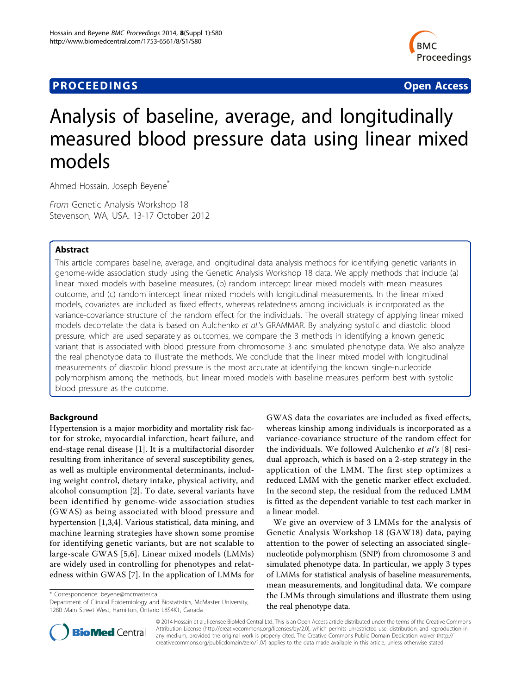# **PROCEEDINGS STATES CONSUMING S** Open Access **CONSUMING S**



# Analysis of baseline, average, and longitudinally measured blood pressure data using linear mixed models

Ahmed Hossain, Joseph Beyene\*

From Genetic Analysis Workshop 18 Stevenson, WA, USA. 13-17 October 2012

## Abstract

This article compares baseline, average, and longitudinal data analysis methods for identifying genetic variants in genome-wide association study using the Genetic Analysis Workshop 18 data. We apply methods that include (a) linear mixed models with baseline measures, (b) random intercept linear mixed models with mean measures outcome, and (c) random intercept linear mixed models with longitudinal measurements. In the linear mixed models, covariates are included as fixed effects, whereas relatedness among individuals is incorporated as the variance-covariance structure of the random effect for the individuals. The overall strategy of applying linear mixed models decorrelate the data is based on Aulchenko et al.'s GRAMMAR. By analyzing systolic and diastolic blood pressure, which are used separately as outcomes, we compare the 3 methods in identifying a known genetic variant that is associated with blood pressure from chromosome 3 and simulated phenotype data. We also analyze the real phenotype data to illustrate the methods. We conclude that the linear mixed model with longitudinal measurements of diastolic blood pressure is the most accurate at identifying the known single-nucleotide polymorphism among the methods, but linear mixed models with baseline measures perform best with systolic blood pressure as the outcome.

## Background

Hypertension is a major morbidity and mortality risk factor for stroke, myocardial infarction, heart failure, and end-stage renal disease [\[1](#page-4-0)]. It is a multifactorial disorder resulting from inheritance of several susceptibility genes, as well as multiple environmental determinants, including weight control, dietary intake, physical activity, and alcohol consumption [[2\]](#page-4-0). To date, several variants have been identified by genome-wide association studies (GWAS) as being associated with blood pressure and hypertension [[1,3,4](#page-4-0)]. Various statistical, data mining, and machine learning strategies have shown some promise for identifying genetic variants, but are not scalable to large-scale GWAS [\[5](#page-4-0),[6\]](#page-4-0). Linear mixed models (LMMs) are widely used in controlling for phenotypes and relatedness within GWAS [\[7\]](#page-4-0). In the application of LMMs for

\* Correspondence: [beyene@mcmaster.ca](mailto:beyene@mcmaster.ca)

Department of Clinical Epidemiology and Biostatistics, McMaster University, 1280 Main Street West, Hamilton, Ontario L8S4K1, Canada



We give an overview of 3 LMMs for the analysis of Genetic Analysis Workshop 18 (GAW18) data, paying attention to the power of selecting an associated singlenucleotide polymorphism (SNP) from chromosome 3 and simulated phenotype data. In particular, we apply 3 types of LMMs for statistical analysis of baseline measurements, mean measurements, and longitudinal data. We compare the LMMs through simulations and illustrate them using the real phenotype data.



© 2014 Hossain et al.; licensee BioMed Central Ltd. This is an Open Access article distributed under the terms of the Creative Commons Attribution License [\(http://creativecommons.org/licenses/by/2.0](http://creativecommons.org/licenses/by/2.0)), which permits unrestricted use, distribution, and reproduction in any medium, provided the original work is properly cited. The Creative Commons Public Domain Dedication waiver [\(http://](http://creativecommons.org/publicdomain/zero/1.0/) [creativecommons.org/publicdomain/zero/1.0/](http://creativecommons.org/publicdomain/zero/1.0/)) applies to the data made available in this article, unless otherwise stated.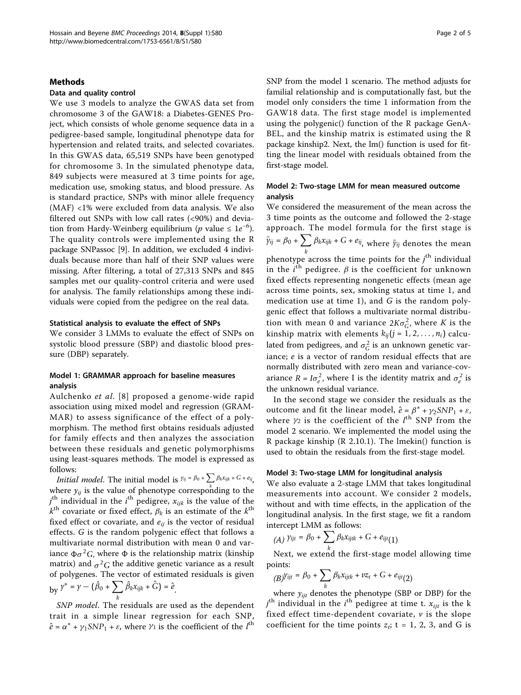#### Methods

## Data and quality control

We use 3 models to analyze the GWAS data set from chromosome 3 of the GAW18: a Diabetes-GENES Project, which consists of whole genome sequence data in a pedigree-based sample, longitudinal phenotype data for hypertension and related traits, and selected covariates. In this GWAS data, 65,519 SNPs have been genotyped for chromosome 3. In the simulated phenotype data, 849 subjects were measured at 3 time points for age, medication use, smoking status, and blood pressure. As is standard practice, SNPs with minor allele frequency (MAF) <1% were excluded from data analysis. We also filtered out SNPs with low call rates (<90%) and deviation from Hardy-Weinberg equilibrium (p value  $\leq 1e^{-6}$ ). The quality controls were implemented using the R package SNPassoc [[9\]](#page-4-0). In addition, we excluded 4 individuals because more than half of their SNP values were missing. After filtering, a total of 27,313 SNPs and 845 samples met our quality-control criteria and were used for analysis. The family relationships among these individuals were copied from the pedigree on the real data.

### Statistical analysis to evaluate the effect of SNPs

We consider 3 LMMs to evaluate the effect of SNPs on systolic blood pressure (SBP) and diastolic blood pressure (DBP) separately.

## Model 1: GRAMMAR approach for baseline measures analysis

Aulchenko et al. [[8](#page-4-0)] proposed a genome-wide rapid association using mixed model and regression (GRAM-MAR) to assess significance of the effect of a polymorphism. The method first obtains residuals adjusted for family effects and then analyzes the association between these residuals and genetic polymorphisms using least-squares methods. The model is expressed as follows:

*Initial model.* The initial model is  $y_{ij} = \beta_0 + \sum_i \beta_k x_{ijk} + G + e_{ij}$ , where  $y_{ij}$  is the value of phenotype corresponding to the  $j^{\text{th}}$  individual in the  $i^{\text{th}}$  pedigree,  $x_{ijk}$  is the value of the  $k<sup>th</sup>$  covariate or fixed effect,  $\beta_k$  is an estimate of the  $k<sup>th</sup>$ fixed effect or covariate, and  $e_{ij}$  is the vector of residual effects. G is the random polygenic effect that follows a multivariate normal distribution with mean 0 and variance  $\Phi \sigma^2 G$ , where  $\Phi$  is the relationship matrix (kinship matrix) and  $\sigma^2 G$  the additive genetic variance as a result of polygenes. The vector of estimated residuals is given  $_{\text{by}}$   $\gamma^* = \gamma - (\hat{\beta}_0 + \sum)$ *k*  $\hat{\beta}_k x_{ijk} + G$ ) =  $\hat{e}$ <sub>.</sub>

SNP model. The residuals are used as the dependent trait in a simple linear regression for each SNP,  $\hat{e} = \alpha^* + \gamma_1 S N P_1 + \varepsilon$ , where  $\gamma_1$  is the coefficient of the  $l^{\text{th}}$ 

SNP from the model 1 scenario. The method adjusts for familial relationship and is computationally fast, but the model only considers the time 1 information from the GAW18 data. The first stage model is implemented using the polygenic() function of the R package GenA-BEL, and the kinship matrix is estimated using the R package kinship2. Next, the lm() function is used for fitting the linear model with residuals obtained from the first-stage model.

## Model 2: Two-stage LMM for mean measured outcome analysis

We considered the measurement of the mean across the 3 time points as the outcome and followed the 2-stage approach. The model formula for the first stage is  $\bar{y}_{ij} = \beta_0 + \sum_i \beta_k x_{ijk} + G + e_{ij}$ , where  $\bar{y}_{ij}$  denotes the mean phenotype across the time points for the  $j^{\text{th}}$  individual in the  $i^{\text{th}}$  pedigree.  $\beta$  is the coefficient for unknown fixed effects representing nongenetic effects (mean age across time points, sex, smoking status at time 1, and medication use at time 1), and  $G$  is the random polygenic effect that follows a multivariate normal distribution with mean 0 and variance  $2K\sigma_G^2$ , where K is the kinship matrix with elements  $k_{ij}(j = 1, 2, ..., n_i)$  calculated from pedigrees, and  $\sigma_G^2$  is an unknown genetic variance; e is a vector of random residual effects that are normally distributed with zero mean and variance-covariance  $R = I\sigma_e^2$ , where I is the identity matrix and  $\sigma_e^2$  is the unknown residual variance.

In the second stage we consider the residuals as the outcome and fit the linear model,  $\hat{e} = \beta^* + \gamma_2 S N P_1 + \varepsilon$ , where  $\gamma_2$  is the coefficient of the  $l^{\text{th}}$  SNP from the model 2 scenario. We implemented the model using the R package kinship (R 2.10.1). The lmekin() function is used to obtain the residuals from the first-stage model.

## Model 3: Two-stage LMM for longitudinal analysis

We also evaluate a 2-stage LMM that takes longitudinal measurements into account. We consider 2 models, without and with time effects, in the application of the longitudinal analysis. In the first stage, we fit a random intercept LMM as follows:

$$
(A) \; \mathcal{V}_{ijt} = \beta_0 + \sum_k \beta_k x_{ijtk} + G + e_{ijt}(1)
$$

*k* Next, we extend the first-stage model allowing time points:

$$
(B)\gamma_{ijt} = \beta_0 + \sum_k \beta_k x_{ijtk} + \nu z_t + G + e_{ijt}(2)
$$

where  $y_{ijt}$  denotes the phenotype (SBP or DBP) for the  $j^{\text{th}}$  individual in the  $i^{\text{th}}$  pedigree at time t.  $x_{ijt}$  is the k fixed effect time-dependent covariate,  $\nu$  is the slope coefficient for the time points  $z_t$ ; t = 1, 2, 3, and G is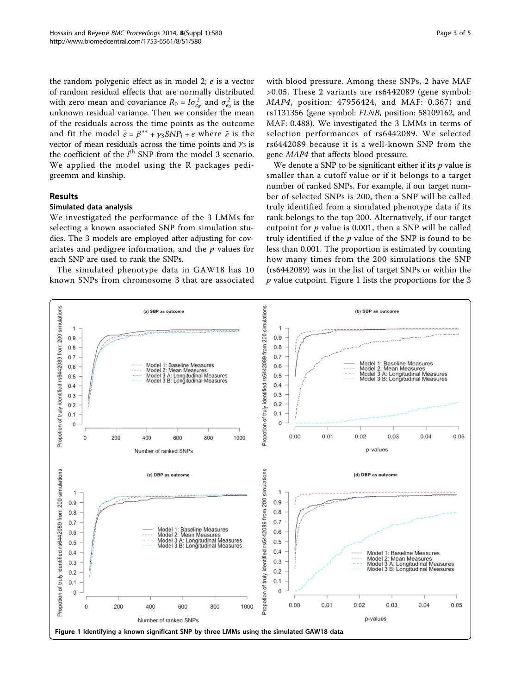<span id="page-2-0"></span>the random polygenic effect as in model 2; e is a vector of random residual effects that are normally distributed with zero mean and covariance  $R_0 = I \sigma_{e_0}^2$ , and  $\sigma_{e_0}^2$  is the unknown residual variance. Then we consider the mean of the residuals across the time points as the outcome and fit the model  $\bar{e} = \beta^{**} + \gamma_3 S N P_l + \varepsilon$  where  $\bar{e}$  is the vector of mean residuals across the time points and  $\gamma_3$  is the coefficient of the  $l^{\text{th}}$  SNP from the model 3 scenario. We applied the model using the R packages pedigreemm and kinship.

## Results

## Simulated data analysis

We investigated the performance of the 3 LMMs for selecting a known associated SNP from simulation studies. The 3 models are employed after adjusting for covariates and pedigree information, and the  $p$  values for each SNP are used to rank the SNPs.

The simulated phenotype data in GAW18 has 10 known SNPs from chromosome 3 that are associated with blood pressure. Among these SNPs, 2 have MAF >0.05. These 2 variants are rs6442089 (gene symbol: MAP4, position: 47956424, and MAF: 0.367) and rs1131356 (gene symbol: FLNB, position: 58109162, and MAF: 0.488). We investigated the 3 LMMs in terms of selection performances of rs6442089. We selected rs6442089 because it is a well-known SNP from the gene MAP4 that affects blood pressure.

We denote a SNP to be significant either if its  $p$  value is smaller than a cutoff value or if it belongs to a target number of ranked SNPs. For example, if our target number of selected SNPs is 200, then a SNP will be called truly identified from a simulated phenotype data if its rank belongs to the top 200. Alternatively, if our target cutpoint for  $p$  value is 0.001, then a SNP will be called truly identified if the  $p$  value of the SNP is found to be less than 0.001. The proportion is estimated by counting how many times from the 200 simulations the SNP (rs6442089) was in the list of target SNPs or within the  $p$  value cutpoint. Figure 1 lists the proportions for the 3

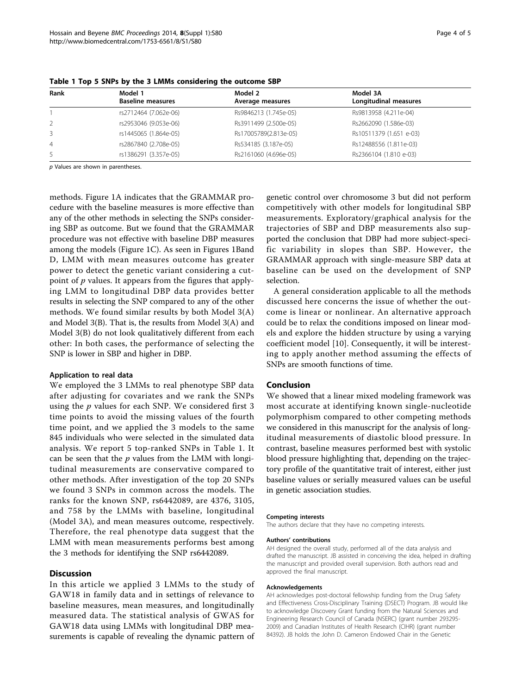| Rank | Model 1<br><b>Baseline measures</b> | Model 2<br>Average measures | Model 3A<br>Longitudinal measures |
|------|-------------------------------------|-----------------------------|-----------------------------------|
|      | rs2712464 (7.062e-06)               | Rs9846213 (1.745e-05)       | Rs9813958 (4.211e-04)             |
| 2    | rs2953046 (9.053e-06)               | Rs3911499 (2.500e-05)       | Rs2662090 (1.586e-03)             |
| 3    | rs1445065 (1.864e-05)               | Rs17005789(2.813e-05)       | Rs10511379 (1.651 e-03)           |
| 4    | rs2867840 (2.708e-05)               | Rs534185 (3.187e-05)        | Rs12488556 (1.811e-03)            |
| .5   | rs1386291 (3.357e-05)               | Rs2161060 (4.696e-05)       | Rs2366104 (1.810 e-03)            |

Table 1 Top 5 SNPs by the 3 LMMs considering the outcome SBP

p Values are shown in parentheses.

methods. Figure [1A](#page-2-0) indicates that the GRAMMAR procedure with the baseline measures is more effective than any of the other methods in selecting the SNPs considering SBP as outcome. But we found that the GRAMMAR procedure was not effective with baseline DBP measures among the models (Figure [1C\)](#page-2-0). As seen in Figures [1Ba](#page-2-0)nd [D](#page-2-0), LMM with mean measures outcome has greater power to detect the genetic variant considering a cutpoint of  $p$  values. It appears from the figures that applying LMM to longitudinal DBP data provides better results in selecting the SNP compared to any of the other methods. We found similar results by both Model 3(A) and Model 3(B). That is, the results from Model 3(A) and Model 3(B) do not look qualitatively different from each other: In both cases, the performance of selecting the SNP is lower in SBP and higher in DBP.

#### Application to real data

We employed the 3 LMMs to real phenotype SBP data after adjusting for covariates and we rank the SNPs using the  $p$  values for each SNP. We considered first 3 time points to avoid the missing values of the fourth time point, and we applied the 3 models to the same 845 individuals who were selected in the simulated data analysis. We report 5 top-ranked SNPs in Table 1. It can be seen that the  $p$  values from the LMM with longitudinal measurements are conservative compared to other methods. After investigation of the top 20 SNPs we found 3 SNPs in common across the models. The ranks for the known SNP, rs6442089, are 4376, 3105, and 758 by the LMMs with baseline, longitudinal (Model 3A), and mean measures outcome, respectively. Therefore, the real phenotype data suggest that the LMM with mean measurements performs best among the 3 methods for identifying the SNP rs6442089.

#### Discussion

In this article we applied 3 LMMs to the study of GAW18 in family data and in settings of relevance to baseline measures, mean measures, and longitudinally measured data. The statistical analysis of GWAS for GAW18 data using LMMs with longitudinal DBP measurements is capable of revealing the dynamic pattern of

genetic control over chromosome 3 but did not perform competitively with other models for longitudinal SBP measurements. Exploratory/graphical analysis for the trajectories of SBP and DBP measurements also supported the conclusion that DBP had more subject-specific variability in slopes than SBP. However, the GRAMMAR approach with single-measure SBP data at baseline can be used on the development of SNP selection.

A general consideration applicable to all the methods discussed here concerns the issue of whether the outcome is linear or nonlinear. An alternative approach could be to relax the conditions imposed on linear models and explore the hidden structure by using a varying coefficient model [\[10](#page-4-0)]. Consequently, it will be interesting to apply another method assuming the effects of SNPs are smooth functions of time.

#### Conclusion

We showed that a linear mixed modeling framework was most accurate at identifying known single-nucleotide polymorphism compared to other competing methods we considered in this manuscript for the analysis of longitudinal measurements of diastolic blood pressure. In contrast, baseline measures performed best with systolic blood pressure highlighting that, depending on the trajectory profile of the quantitative trait of interest, either just baseline values or serially measured values can be useful in genetic association studies.

#### Competing interests

The authors declare that they have no competing interests.

#### Authors' contributions

AH designed the overall study, performed all of the data analysis and drafted the manuscript. JB assisted in conceiving the idea, helped in drafting the manuscript and provided overall supervision. Both authors read and approved the final manuscript.

#### Acknowledgements

AH acknowledges post-doctoral fellowship funding from the Drug Safety and Effectiveness Cross-Disciplinary Training (DSECT) Program. JB would like to acknowledge Discovery Grant funding from the Natural Sciences and Engineering Research Council of Canada (NSERC) (grant number 293295- 2009) and Canadian Institutes of Health Research (CIHR) (grant number 84392). JB holds the John D. Cameron Endowed Chair in the Genetic